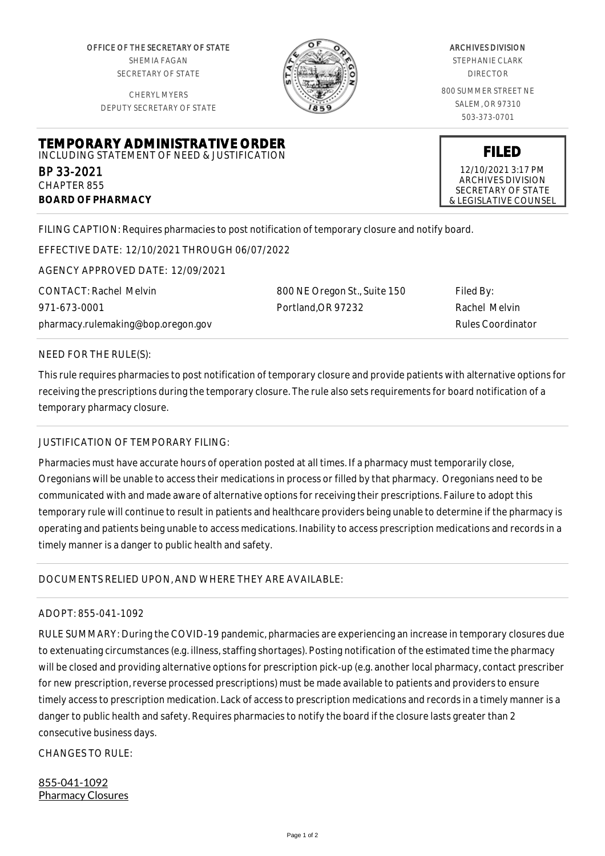OFFICE OF THE SECRETARY OF STATE SHEMIA FAGAN SECRETARY OF STATE

CHERYL MYERS DEPUTY SECRETARY OF STATE



#### ARCHIVES DIVISION

STEPHANIE CLARK DIRECTOR

800 SUMMER STREET NE SALEM, OR 97310 503-373-0701

**FILED** 12/10/2021 3:17 PM ARCHIVES DIVISION SECRETARY OF STATE & LEGISLATIVE COUNSEL

#### **TEMPORARY ADMINISTRATIVE ORDER** INCLUDING STATEMENT OF NEED & JUSTIFICATION

BP 33-2021 CHAPTER 855 **BOARD OF PHARMACY**

FILING CAPTION: Requires pharmacies to post notification of temporary closure and notify board.

EFFECTIVE DATE: 12/10/2021 THROUGH 06/07/2022

AGENCY APPROVED DATE: 12/09/2021

CONTACT: Rachel Melvin 971-673-0001 pharmacy.rulemaking@bop.oregon.gov 800 NE Oregon St., Suite 150 Portland,OR 97232

Filed By: Rachel Melvin Rules Coordinator

#### NEED FOR THE RULE(S):

This rule requires pharmacies to post notification of temporary closure and provide patients with alternative options for receiving the prescriptions during the temporary closure. The rule also sets requirements for board notification of a temporary pharmacy closure.

# JUSTIFICATION OF TEMPORARY FILING:

Pharmacies must have accurate hours of operation posted at all times. If a pharmacy must temporarily close, Oregonians will be unable to access their medications in process or filled by that pharmacy. Oregonians need to be communicated with and made aware of alternative options for receiving their prescriptions. Failure to adopt this temporary rule will continue to result in patients and healthcare providers being unable to determine if the pharmacy is operating and patients being unable to access medications. Inability to access prescription medications and records in a timely manner is a danger to public health and safety.

# DOCUMENTS RELIED UPON, AND WHERE THEY ARE AVAILABLE:

# ADOPT: 855-041-1092

RULE SUMMARY: During the COVID-19 pandemic, pharmacies are experiencing an increase in temporary closures due to extenuating circumstances (e.g. illness, staffing shortages). Posting notification of the estimated time the pharmacy will be closed and providing alternative options for prescription pick-up (e.g. another local pharmacy, contact prescriber for new prescription, reverse processed prescriptions) must be made available to patients and providers to ensure timely access to prescription medication. Lack of access to prescription medications and records in a timely manner is a danger to public health and safety. Requires pharmacies to notify the board if the closure lasts greater than 2 consecutive business days.

 $CHANGFS TO RIIF$ 

855-041-1092 Pharmacy Closures